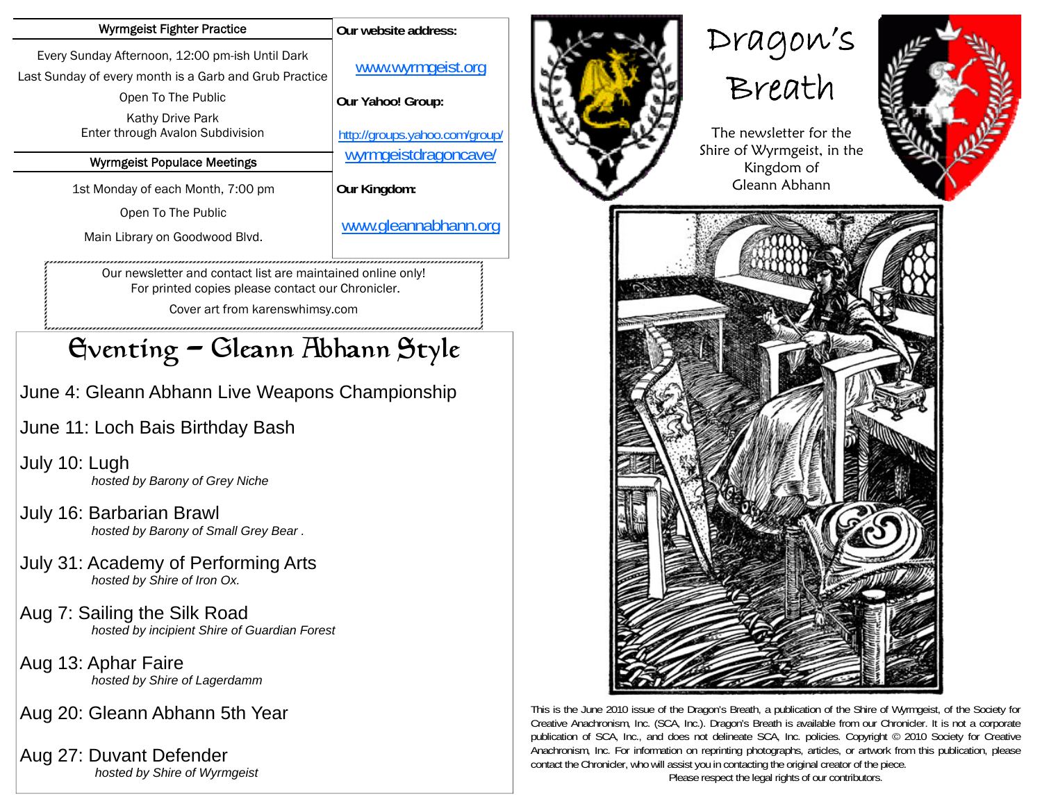| <b>Wyrmgeist Fighter Practice</b>                                                                                                                   | Our website address:           |
|-----------------------------------------------------------------------------------------------------------------------------------------------------|--------------------------------|
| Every Sunday Afternoon, 12:00 pm-ish Until Dark<br>Last Sunday of every month is a Garb and Grub Practice                                           | www.wyrmgeist.org              |
| Open To The Public                                                                                                                                  | Our Yahoo! Group:              |
| Kathy Drive Park<br>Enter through Avalon Subdivision                                                                                                | http://groups.yahoo.com/group/ |
| <b>Wyrmgeist Populace Meetings</b>                                                                                                                  | wyrmgeistdragoncavel           |
| 1st Monday of each Month, 7:00 pm                                                                                                                   | Our Kingdom:                   |
| Open To The Public<br>Main Library on Goodwood Blvd.                                                                                                | www.gleannabhann.org           |
| Our newsletter and contact list are maintained online only!<br>For printed copies please contact our Chronicler.<br>Cover art from karenswhimsy.com |                                |
| Gventing - Gleann Abhann Style                                                                                                                      |                                |
| June 4: Gleann Abhann Live Weapons Championship                                                                                                     |                                |
| June 11: Loch Bais Birthday Bash                                                                                                                    |                                |
| July 10: Lugh<br>hosted by Barony of Grey Niche                                                                                                     |                                |

July 16: Barbarian Brawl  *hosted by Barony of Small Grey Bear .* 

- July 31: Academy of Performing Arts  *hosted by Shire of Iron Ox.*
- Aug 7: Sailing the Silk Road  *hosted by incipient Shire of Guardian Forest*
- Aug 13: Aphar Faire  *hosted by Shire of Lagerdamm*

Aug 20: Gleann Abhann 5th Year

Aug 27: Duvant Defender  *hosted by Shire of Wyrmgeist*



This is the June 2010 issue of the Dragon's Breath, a publication of the Shire of Wyrmgeist, of the Society for Creative Anachronism, Inc. (SCA, Inc.). Dragon's Breath is available from our Chronicler. It is not a corporate publication of SCA, Inc., and does not delineate SCA, Inc. policies. Copyright © 2010 Society for Creative Anachronism, Inc. For information on reprinting photographs, articles, or artwork from this publication, please contact the Chronicler, who will assist you in contacting the original creator of the piece.

Please respect the legal rights of our contributors.